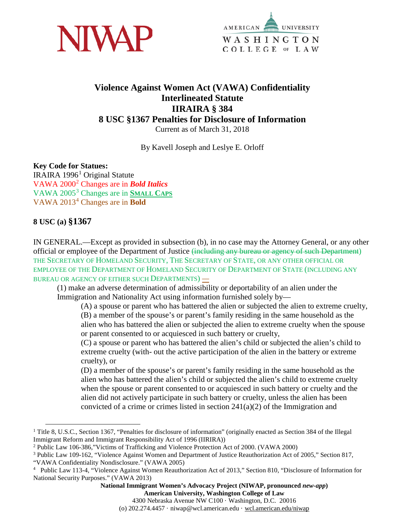



# **Violence Against Women Act (VAWA) Confidentiality Interlineated Statute IIRAIRA § 384 8 USC §1367 Penalties for Disclosure of Information**

Current as of March 31, 2018

By Kavell Joseph and Leslye E. Orloff

#### **Key Code for Statues:**

IRAIRA [1](#page-0-0)996<sup>1</sup> Original Statute VAWA 2000[2](#page-0-1) Changes are in *Bold Italics* VAWA 2005[3](#page-0-2) Changes are in **SMALL CAPS** VAWA 2013[4](#page-0-3) Changes are in **Bold** 

#### **8 USC (a) §1367**

IN GENERAL.—Except as provided in subsection (b), in no case may the Attorney General, or any other official or employee of the Department of Justice (including any bureau or agency of such Department) THE SECRETARY OF HOMELAND SECURITY, THE SECRETARY OF STATE, OR ANY OTHER OFFICIAL OR EMPLOYEE OF THE DEPARTMENT OF HOMELAND SECURITY OF DEPARTMENT OF STATE (INCLUDING ANY BUREAU OR AGENCY OF EITHER SUCH DEPARTMENTS) *—*

(1) make an adverse determination of admissibility or deportability of an alien under the Immigration and Nationality Act using information furnished solely by—

(A) a spouse or parent who has battered the alien or subjected the alien to extreme cruelty,

(B) a member of the spouse's or parent's family residing in the same household as the alien who has battered the alien or subjected the alien to extreme cruelty when the spouse or parent consented to or acquiesced in such battery or cruelty,

(C) a spouse or parent who has battered the alien's child or subjected the alien's child to extreme cruelty (with- out the active participation of the alien in the battery or extreme cruelty), or

(D) a member of the spouse's or parent's family residing in the same household as the alien who has battered the alien's child or subjected the alien's child to extreme cruelty when the spouse or parent consented to or acquiesced in such battery or cruelty and the alien did not actively participate in such battery or cruelty, unless the alien has been convicted of a crime or crimes listed in section 241(a)(2) of the Immigration and

4300 Nebraska Avenue NW C100 · Washington, D.C. 20016

(o) 202.274.4457 · niwap@wcl.american.edu · wcl.american.edu/niwap

<span id="page-0-0"></span><sup>&</sup>lt;sup>1</sup> Title 8, U.S.C., Section 1367, "Penalties for disclosure of information" (originally enacted as Section 384 of the Illegal Immigrant Reform and Immigrant Responsibility Act of 1996 (IIRIRA))

<span id="page-0-1"></span><sup>2</sup> Public Law 106-386,"Victims of Trafficking and Violence Protection Act of 2000. (VAWA 2000)

<span id="page-0-2"></span><sup>3</sup> Public Law 109-162, "Violence Against Women and Department of Justice Reauthorization Act of 2005," Section 817, "VAWA Confidentiality Nondisclosure." (VAWA 2005)

<span id="page-0-3"></span><sup>4</sup> Public Law 113-4, "Violence Against Women Reauthorization Act of 2013," Section 810, "Disclosure of Information for National Security Purposes." (VAWA 2013)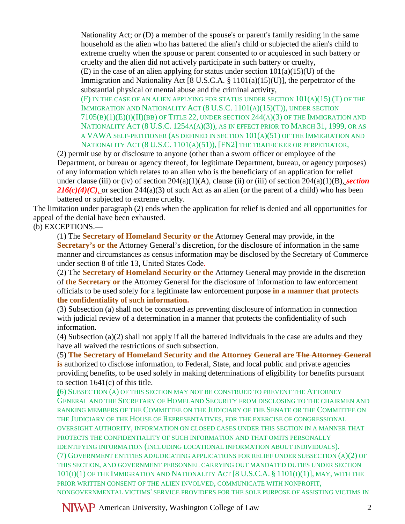Nationality Act; or (D) a member of the spouse's or parent's family residing in the same household as the alien who has battered the alien's child or subjected the alien's child to extreme cruelty when the spouse or parent consented to or acquiesced in such battery or cruelty and the alien did not actively participate in such battery or cruelty,

(E) in the case of an alien applying for status under section  $101(a)(15)(U)$  of the Immigration and Nationality Act [8 U.S.C.A. § 1101(a)(15)(U)], the perpetrator of the substantial physical or mental abuse and the criminal activity,

(F) IN THE CASE OF AN ALIEN APPLYING FOR STATUS UNDER SECTION 101(A)(15) (T) OF THE IMMIGRATION AND NATIONALITY ACT (8 U.S.C. 1101(A)(15)(T)), UNDER SECTION  $7105(B)(1)(E)(I)(IB)$  OF TITLE 22, UNDER SECTION 244(A)(3) OF THE IMMIGRATION AND NATIONALITY ACT (8 U.S.C. 1254A(A)(3)), AS IN EFFECT PRIOR TO MARCH 31, 1999, OR AS A VAWA SELF-PETITIONER (AS DEFINED IN SECTION 101(A)(51) OF THE IMMIGRATION AND NATIONALITY ACT (8 U.S.C. 1101(A)(51)), [FN2] THE TRAFFICKER OR PERPETRATOR,

(2) permit use by or disclosure to anyone (other than a sworn officer or employee of the Department, or bureau or agency thereof, for legitimate Department, bureau, or agency purposes) of any information which relates to an alien who is the beneficiary of an application for relief under clause (iii) or (iv) of section 204(a)(1)(A), clause (ii) or (iii) of section 204(a)(1)(B), *section*   $216(c)(4)(C)$ , or section 244(a)(3) of such Act as an alien (or the parent of a child) who has been battered or subjected to extreme cruelty.

The limitation under paragraph (2) ends when the application for relief is denied and all opportunities for appeal of the denial have been exhausted.

(b) EXCEPTIONS.—

(1) The **Secretary of Homeland Security or the** Attorney General may provide, in the **Secretary's or the** Attorney General's discretion, for the disclosure of information in the same manner and circumstances as census information may be disclosed by the Secretary of Commerce under section 8 of title 13, United States Code.

(2) The **Secretary of Homeland Security or the** Attorney General may provide in the discretion of **the Secretary or** the Attorney General for the disclosure of information to law enforcement officials to be used solely for a legitimate law enforcement purpose **in a manner that protects the confidentiality of such information.** 

(3) Subsection (a) shall not be construed as preventing disclosure of information in connection with judicial review of a determination in a manner that protects the confidentiality of such information.

(4) Subsection (a)(2) shall not apply if all the battered individuals in the case are adults and they have all waived the restrictions of such subsection.

(5) **The Secretary of Homeland Security and the Attorney General are The Attorney General is**-authorized to disclose information, to Federal, State, and local public and private agencies providing benefits, to be used solely in making determinations of eligibility for benefits pursuant to section 1641(c) of this title.

**(**6) SUBSECTION (A) OF THIS SECTION MAY NOT BE CONSTRUED TO PREVENT THE ATTORNEY GENERAL AND THE SECRETARY OF HOMELAND SECURITY FROM DISCLOSING TO THE CHAIRMEN AND RANKING MEMBERS OF THE COMMITTEE ON THE JUDICIARY OF THE SENATE OR THE COMMITTEE ON THE JUDICIARY OF THE HOUSE OF REPRESENTATIVES, FOR THE EXERCISE OF CONGRESSIONAL OVERSIGHT AUTHORITY, INFORMATION ON CLOSED CASES UNDER THIS SECTION IN A MANNER THAT PROTECTS THE CONFIDENTIALITY OF SUCH INFORMATION AND THAT OMITS PERSONALLY IDENTIFYING INFORMATION (INCLUDING LOCATIONAL INFORMATION ABOUT INDIVIDUALS). (7) GOVERNMENT ENTITIES ADJUDICATING APPLICATIONS FOR RELIEF UNDER SUBSECTION (A)(2) OF THIS SECTION, AND GOVERNMENT PERSONNEL CARRYING OUT MANDATED DUTIES UNDER SECTION  $101(I)(1)$  OF THE IMMIGRATION AND NATIONALITY ACT  $[8 U.S.C.A. § 1101(I)(1)]$ , MAY, WITH THE PRIOR WRITTEN CONSENT OF THE ALIEN INVOLVED, COMMUNICATE WITH NONPROFIT, NONGOVERNMENTAL VICTIMS' SERVICE PROVIDERS FOR THE SOLE PURPOSE OF ASSISTING VICTIMS IN